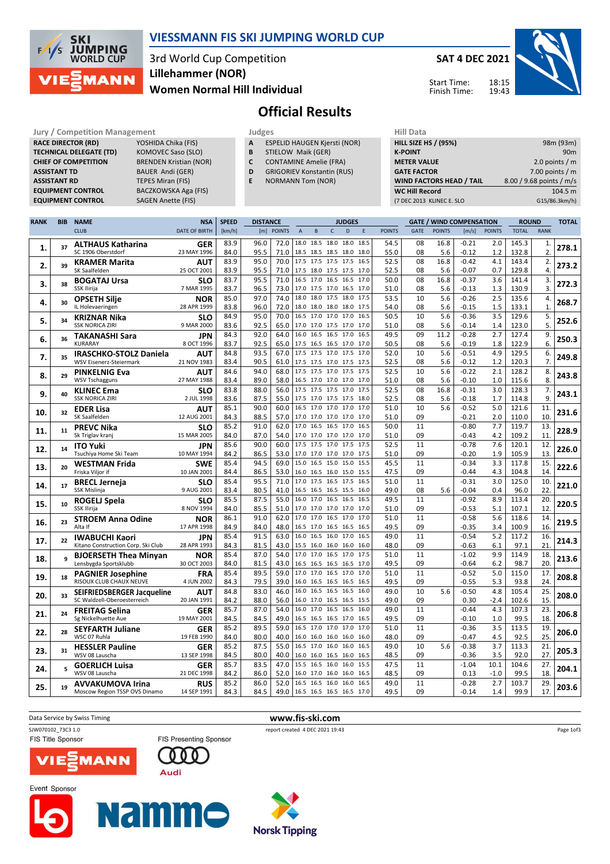

#### VIESSMANN FIS SKI JUMPING WORLD CUP

### 3rd World Cup Competition Women Normal Hill Individual Lillehammer (NOR)

SAT 4 DEC 2021

Start Time: Finish Time:



# Official Results

**RACE DIRECTOR (RD) ASSISTANT RD** TEPES Miran (FIS)<br> **EQUIPMENT CONTROL** BACZKOWSKA Aga

Jury / Competition Management<br> **RACE DIRECTOR (RD)** YOSHIDA Chika (FIS) **A** ESPELID HAUGEN Kjersti (NOR) **HILL SIZE HILL SIZE TECHNICAL DELEGATE (TD)** KOMOVEC Saso (SLO)<br> **CHIEF OF COMPETITION** BRENDEN Kristian (NC BRENDEN Kristian (NOR) ASSISTANT TD BAUER Andi (GER) BACZKOWSKA Aga (FIS) EQUIPMENT CONTROL SAGEN Anette (FIS)

- A ESPELID HAUGEN Kjersti (NOR)
- **B** STIELOW Maik (GER)<br>**C** CONTAMINE Amelie ( CONTAMINE Amelie (FRA)
- D GRIGORIEV Konstantin (RUS)
- E NORMANN Tom (NOR)

| 98m (93m)                |
|--------------------------|
| 90m                      |
| 2.0 points $/m$          |
| 7.00 points $/m$         |
| 8.00 / 9.68 points / m/s |
| 104.5 m                  |
| G15/86.3km/h)            |
|                          |

| <b>RANK</b> | <b>BIB</b> | <b>NAME</b>                                           | <b>NSA</b>                | <b>SPEED</b> | <b>DISTANCE</b> |              |                     |                                            |              | <b>JUDGES</b>            |              |               |             |               | <b>GATE / WIND COMPENSATION</b> |               | <b>ROUND</b>   |              | <b>TOTAL</b> |
|-------------|------------|-------------------------------------------------------|---------------------------|--------------|-----------------|--------------|---------------------|--------------------------------------------|--------------|--------------------------|--------------|---------------|-------------|---------------|---------------------------------|---------------|----------------|--------------|--------------|
|             |            | <b>CLUB</b>                                           | <b>DATE OF BIRTH</b>      | [km/h]       |                 | [m] POINTS   | $\overline{A}$      | B                                          | $\mathsf{C}$ | D                        | E            | <b>POINTS</b> | <b>GATE</b> | <b>POINTS</b> | [m/s]                           | <b>POINTS</b> | <b>TOTAL</b>   | <b>RANK</b>  |              |
| 1.          | 37         | <b>ALTHAUS Katharina</b><br>SC 1906 Oberstdorf        | <b>GER</b><br>23 MAY 1996 | 83.9<br>84.0 | 96.0<br>95.5    | 72.0<br>71.0 |                     | 18.0 18.5 18.0 18.0<br>18.5 18.5 18.5 18.0 |              |                          | 18.5<br>18.0 | 54.5<br>55.0  | 08<br>08    | 16.8<br>5.6   | -0.21<br>$-0.12$                | 2.0<br>1.2    | 145.3<br>132.8 | 1.<br>2.     | 278.1        |
| 2.          | 39         | <b>KRAMER Marita</b><br>SK Saalfelden                 | AUT<br>25 OCT 2001        | 83.9<br>83.9 | 95.0<br>95.5    | 70.0<br>71.0 |                     | 17.5 17.5 17.5 17.5<br>17.5 18.0 17.5 17.5 |              |                          | 16.5<br>17.0 | 52.5<br>52.5  | 08<br>08    | 16.8<br>5.6   | $-0.42$<br>$-0.07$              | 4.1<br>0.7    | 143.4<br>129.8 | 2.<br>4.     | 273.2        |
|             |            | <b>BOGATAJ Ursa</b>                                   | SLO                       | 83.7         | 95.5            | 71.0         | 16.5                | 17.0 16.5 16.5                             |              |                          | 17.0         | 50.0          | 08          | 16.8          | $-0.37$                         | 3.6           | 141.4          | 3.           |              |
| 3.          | 38         | SSK Ilirija                                           | 7 MAR 1995                | 83.7         | 96.5            | 73.0         |                     | 17.0 17.5 17.0 16.5                        |              |                          | 17.0         | 51.0          | 08          | 5.6           | $-0.13$                         | 1.3           | 130.9          | 3.           | 272.3        |
| 4.          | 30         | <b>OPSETH Silje</b>                                   | <b>NOR</b>                | 85.0         | 97.0            | 74.0         |                     | 18.0 18.0 17.5 18.0                        |              |                          | 17.5         | 53.5          | 10          | 5.6           | $-0.26$                         | 2.5           | 135.6          | 4.           | 268.7        |
|             |            | IL Holevaeringen                                      | 28 APR 1999               | 83.8         | 96.0            | 72.0         |                     | 18.0 18.0 18.0 18.0                        |              |                          | 17.5         | 54.0          | 08          | 5.6           | -0.15                           | 1.5           | 133.1          | $\mathbf{1}$ |              |
| 5.          | 34         | <b>KRIZNAR Nika</b><br><b>SSK NORICA ZIRI</b>         | <b>SLO</b><br>9 MAR 2000  | 84.9         | 95.0<br>92.5    | 70.0<br>65.0 |                     | 16.5 17.0 17.0 17.0<br>17.0 17.0 17.5 17.0 |              |                          | 16.5<br>17.0 | 50.5<br>51.0  | 10<br>08    | 5.6<br>5.6    | $-0.36$<br>$-0.14$              | 3.5<br>1.4    | 129.6<br>123.0 | 5.<br>5.     | 252.6        |
|             |            |                                                       | JPN                       | 83.6<br>84.3 | 92.0            | 64.0         | 16.0                | 16.5                                       | 16.5 17.0    |                          | 16.5         | 49.5          | 09          | 11.2          | $-0.28$                         | 2.7           | 127.4          | 9.           |              |
| 6.          | 36         | <b>TAKANASHI Sara</b><br><b>KURARAY</b>               | 8 OCT 1996                | 83.7         | 92.5            | 65.0         |                     | 17.5 16.5 16.5 17.0                        |              |                          | 17.0         | 50.5          | 08          | 5.6           | $-0.19$                         | 1.8           | 122.9          | 6.           | 250.3        |
|             |            | <b>IRASCHKO-STOLZ Daniela</b>                         | AUT                       | 84.8         | 93.5            | 67.0         | 17.5                | 17.5 17.0 17.5                             |              |                          | 17.0         | 52.0          | 10          | 5.6           | $-0.51$                         | 4.9           | 129.5          | 6.           |              |
| 7.          | 35         | WSV Eisenerz-Steiermark                               | 21 NOV 1983               | 83.4         | 90.5            | 61.0         |                     | 17.5 17.5 17.0 17.5                        |              |                          | 17.5         | 52.5          | 08          | 5.6           | $-0.12$                         | 1.2           | 120.3          | 7.           | 249.8        |
| 8.          | 29         | <b>PINKELNIG Eva</b>                                  | AUT                       | 84.6         | 94.0            | 68.0         | 17.5                | 17.5 17.0 17.5                             |              |                          | 17.5         | 52.5          | 10          | 5.6           | $-0.22$                         | 2.1           | 128.2          | 8.           | 243.8        |
|             |            | <b>WSV Tschagguns</b>                                 | 27 MAY 1988               | 83.4         | 89.0            | 58.0         |                     | 16.5 17.0 17.0 17.0                        |              |                          | 17.0         | 51.0          | 08          | 5.6           | $-0.10$                         | 1.0           | 115.6          | 8.           |              |
| 9.          | 40         | <b>KLINEC Ema</b><br><b>SSK NORICA ZIRI</b>           | <b>SLO</b>                | 83.8         | 88.0            | 56.0         |                     | 17.5 17.5 17.5 17.0                        |              |                          | 17.5         | 52.5<br>52.5  | 08<br>08    | 16.8<br>5.6   | $-0.31$                         | 3.0<br>1.7    | 128.3          | 7.<br>9.     | 243.1        |
|             |            | <b>EDER Lisa</b>                                      | 2 JUL 1998<br>AUT         | 83.6<br>85.1 | 87.5<br>90.0    | 55.0<br>60.0 | 16.5                | 17.5 17.0 17.5 17.5<br>17.0 17.0 17.0      |              |                          | 18.0<br>17.0 | 51.0          | 10          | 5.6           | $-0.18$<br>$-0.52$              | 5.0           | 114.8<br>121.6 | 11.          |              |
| 10.         | 32         | SK Saalfelden                                         | 12 AUG 2001               | 84.3         | 88.5            | 57.0         |                     | 17.0 17.0 17.0 17.0                        |              |                          | 17.0         | 51.0          | 09          |               | $-0.21$                         | 2.0           | 110.0          | 10           | 231.6        |
|             |            | <b>PREVC Nika</b>                                     | SLO                       | 85.2         | 91.0            | 62.0         |                     | 17.0 16.5 16.5 17.0                        |              |                          | 16.5         | 50.0          | 11          |               | $-0.80$                         | 7.7           | 119.7          | 13.          |              |
| 11.         | 11         | Sk Triglav kranj                                      | 15 MAR 2005               | 84.0         | 87.0            | 54.0         |                     | 17.0 17.0 17.0 17.0                        |              |                          | 17.0         | 51.0          | 09          |               | $-0.43$                         | 4.2           | 109.2          | 11           | 228.9        |
| 12.         | 14         | <b>ITO Yuki</b>                                       | <b>JPN</b>                | 85.6         | 90.0            | 60.0         |                     | 17.5 17.5 17.0 17.5                        |              |                          | 17.5         | 52.5          | 11          |               | $-0.78$                         | 7.6           | 120.1          | 12.          | 226.0        |
|             |            | Tsuchiya Home Ski Team                                | 10 MAY 1994               | 84.2         | 86.5            | 53.0         |                     | 17.0 17.0 17.0 17.0                        |              |                          | 17.5         | 51.0          | 09          |               | $-0.20$                         | 1.9           | 105.9          | 13.          |              |
| 13.         | 20         | <b>WESTMAN Frida</b>                                  | <b>SWE</b><br>10 JAN 2001 | 85.4         | 94.5            | 69.0         | 15.0                | 16.5<br>16.0 16.5 16.0 15.0                | 15.0         | 15.0                     | 15.5<br>15.5 | 45.5          | 11<br>09    |               | $-0.34$                         | 3.3           | 117.8          | 15.<br>14    | 222.6        |
|             |            | Friska Viljor if                                      | <b>SLO</b>                | 84.4<br>85.4 | 86.5<br>95.5    | 53.0<br>71.0 |                     | 17.0 17.5 16.5 17.5                        |              |                          | 16.5         | 47.5<br>51.0  | 11          |               | $-0.44$<br>$-0.31$              | 4.3<br>3.0    | 104.8<br>125.0 | 10.          |              |
| 14.         | 17         | <b>BRECL Jerneja</b><br><b>SSK Mislinja</b>           | 9 AUG 2001                | 83.4         | 80.5            | 41.0         |                     | 16.5 16.5 16.5 15.5                        |              |                          | 16.0         | 49.0          | 08          | 5.6           | $-0.04$                         | 0.4           | 96.0           | 22.          | 221.0        |
|             |            | ROGELJ Spela                                          | <b>SLO</b>                | 85.5         | 87.5            | 55.0         |                     | 16.0 17.0 16.5 16.5                        |              |                          | 16.5         | 49.5          | 11          |               | $-0.92$                         | 8.9           | 113.4          | 20.          |              |
| 15.         | 10         | SSK Ilirija                                           | 8 NOV 1994                | 84.0         | 85.5            | 51.0         |                     |                                            |              | 17.0 17.0 17.0 17.0 17.0 |              | 51.0          | 09          |               | -0.53                           | 5.1           | 107.1          | 12.          | 220.5        |
| 16.         | 23         | <b>STROEM Anna Odine</b>                              | <b>NOR</b>                | 86.1         | 91.0            | 62.0         |                     | 17.0 17.0 16.5 17.0                        |              |                          | 17.0         | 51.0          | 11          |               | $-0.58$                         | 5.6           | 118.6          | 14.          | 219.5        |
|             |            | Alta If                                               | 17 APR 1998               | 84.9         | 84.0            | 48.0         |                     | 16.5 17.0 16.5 16.5                        |              |                          | 16.5         | 49.5          | 09          |               | $-0.35$                         | 3.4           | 100.9          | 16.          |              |
| 17.         | 22         | <b>IWABUCHI Kaori</b>                                 | JPN<br>28 APR 1993        | 85.4<br>84.3 | 91.5<br>81.5    | 63.0         | 16.0                | 16.5 16.0 17.0<br>15.5 16.0 16.0 16.0      |              |                          | 16.5         | 49.0<br>48.0  | 11<br>09    |               | $-0.54$                         | 5.2           | 117.2<br>97.1  | 16.<br>21    | 214.3        |
|             |            | Kitano Construction Corp. Ski Club                    | <b>NOR</b>                | 85.4         | 87.0            | 43.0<br>54.0 |                     | 17.0 17.0 16.5 17.0                        |              |                          | 16.0<br>17.5 | 51.0          | 11          |               | $-0.63$<br>$-1.02$              | 6.1<br>9.9    | 114.9          | 18.          |              |
| 18.         | 9          | <b>BJOERSETH Thea Minyan</b><br>Lensbygda Sportsklubb | 30 OCT 2003               | 84.0         | 81.5            | 43.0         |                     | 16.5 16.5 16.5 16.5                        |              |                          | 17.0         | 49.5          | 09          |               | $-0.64$                         | 6.2           | 98.7           | 20.          | 213.6        |
|             |            | <b>PAGNIER Josephine</b>                              | <b>FRA</b>                | 85.4         | 89.5            | 59.0         |                     | 17.0 17.0 16.5 17.0                        |              |                          | 17.0         | 51.0          | 11          |               | $-0.52$                         | 5.0           | 115.0          | 17.          |              |
| 19.         | 18         | RISOUX CLUB CHAUX NEUVE                               | 4 JUN 2002                | 84.3         | 79.5            | 39.0         |                     | 16.0 16.5 16.5 16.5                        |              |                          | 16.5         | 49.5          | 09          |               | $-0.55$                         | 5.3           | 93.8           | 24.          | 208.8        |
| 20.         | 33         | SEIFRIEDSBERGER Jacqueline                            | AUT                       | 84.8         | 83.0            | 46.0         | 16.0                | 16.5                                       | 16.5         | 16.5                     | 16.0         | 49.0          | 10          | 5.6           | $-0.50$                         | 4.8           | 105.4          | 25.          | 208.0        |
|             |            | SC Waldzell-Oberoesterreich                           | 20 JAN 1991               | 84.2         | 88.0            | 56.0         |                     | 16.0 17.0 16.5 16.5                        |              |                          | 15.5         | 49.0          | 09          |               | 0.30                            | $-2.4$        | 102.6          | 15           |              |
| 21.         | 24         | <b>FREITAG Selina</b><br>Sg Nickelhuette Aue          | <b>GER</b><br>19 MAY 2001 | 85.7<br>84.5 | 87.0<br>84.5    | 54.0<br>49.0 | 16.0                | 17.0 16.5 16.5                             |              |                          | 16.0         | 49.0<br>49.5  | 11<br>09    |               | $-0.44$<br>$-0.10$              | 4.3<br>1.0    | 107.3<br>99.5  | 23.<br>18    | 206.8        |
|             |            |                                                       | <b>GER</b>                | 85.2         | 89.5            | 59.0         |                     | 16.5 16.5 16.5 17.0<br>16.5 17.0 17.0 17.0 |              |                          | 16.5<br>17.0 | 51.0          | 11          |               | $-0.36$                         | 3.5           | 113.5          | 19.          |              |
| 22.         | 28         | <b>SEYFARTH Juliane</b><br>WSC 07 Ruhla               | 19 FEB 1990               | 84.0         | 80.0            | 40.0         |                     | 16.0 16.0 16.0 16.0                        |              |                          | 16.0         | 48.0          | 09          |               | $-0.47$                         | 4.5           | 92.5           | 25           | 206.0        |
|             |            | <b>HESSLER Pauline</b>                                | <b>GER</b>                | 85.2         | 87.5            | 55.0         |                     | 16.5 17.0 16.0                             |              | 16.0                     | 16.5         | 49.0          | 10          | 5.6           | $-0.38$                         | 3.7           | 113.3          | 21.          |              |
| 23.         | 31         | WSV 08 Lauscha                                        | 13 SEP 1998               | 84.5         | 80.0            | 40.0         |                     | 16.0 16.0 16.5 16.0                        |              |                          | 16.5         | 48.5          | 09          |               | -0.36                           | 3.5           | 92.0           | 27.          | 205.3        |
| 24.         | 5          | <b>GOERLICH Luisa</b>                                 | <b>GER</b>                | 85.7         | 83.5            | 47.0         | 15.5                | 16.5 16.0                                  |              | 16.0                     | 15.5         | 47.5          | 11          |               | $-1.04$                         | 10.1          | 104.6          | 27.          | 204.1        |
|             |            | WSV 08 Lauscha                                        | 21 DEC 1998               | 84.2         | 86.0            | 52.0         |                     | 16.0 17.0 16.0 16.0                        |              |                          | 16.5         | 48.5          | 09          |               | 0.13                            | $-1.0$        | 99.5           | 18.          |              |
| 25.         | 19         | <b>AVVAKUMOVA Irina</b>                               | <b>RUS</b><br>14 SEP 1991 | 85.2         | 86.0            | 52.0<br>49.0 |                     | 16.5 16.5 16.0 16.0                        |              |                          | 16.5<br>17.0 | 49.0<br>49.5  | 11<br>09    |               | $-0.28$<br>$-0.14$              | 2.7           | 103.7<br>99.9  | 29.<br>17.   | 203.6        |
|             |            | Moscow Region TSSP OVS Dinamo                         |                           | 84.3         | 84.5            |              | 16.5 16.5 16.5 16.5 |                                            |              |                          |              |               |             |               |                                 | 1.4           |                |              |              |









Audi

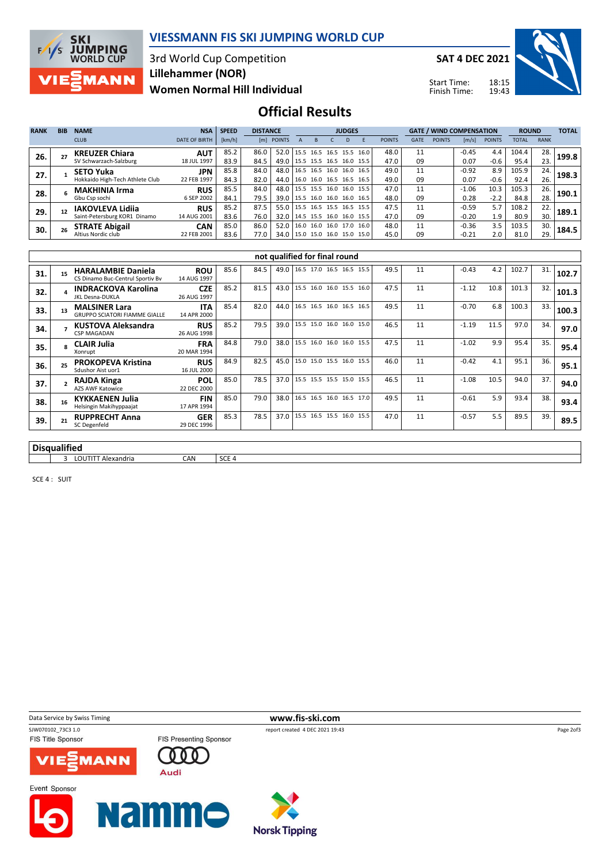

#### VIESSMANN FIS SKI JUMPING WORLD CUP

3rd World Cup Competition Women Normal Hill Individual Lillehammer (NOR)

SAT 4 DEC 2021

Start Time: Finish Time:



## Official Results

| <b>RANK</b> | <b>BIB</b> | <b>NAME</b>                     | <b>NSA</b>           | <b>SPEED</b> | <b>DISTANCE</b> |            | <b>JUDGES</b>                                                    |  |           |      |      | <b>GATE / WIND COMPENSATION</b> |             |               | <b>ROUND</b> |               | <b>TOTAL</b> |             |       |
|-------------|------------|---------------------------------|----------------------|--------------|-----------------|------------|------------------------------------------------------------------|--|-----------|------|------|---------------------------------|-------------|---------------|--------------|---------------|--------------|-------------|-------|
|             |            | <b>CLUB</b>                     | <b>DATE OF BIRTH</b> | [km/h]       |                 | [m] POINTS |                                                                  |  |           |      |      | <b>POINTS</b>                   | <b>GATE</b> | <b>POINTS</b> | [m/s]        | <b>POINTS</b> | <b>TOTAL</b> | <b>RANK</b> |       |
| 26.         |            | <b>KREUZER Chiara</b>           | <b>AUT</b>           | 85.2         | 86.0            | 52.0       | $15.5$ 16.5 16.5                                                 |  |           | 15.5 | 16.0 | 48.0                            | 11          |               | $-0.45$      | 4.4           | 104.4        | 28.         | 199.8 |
|             |            | SV Schwarzach-Salzburg          | 18 JUL 1997          | 83.9         | 84.5            | 49.0       | 15.5 15.5 16.5                                                   |  |           | 16.0 | 15.5 | 47.0                            | 09          |               | 0.07         | $-0.6$        | 95.4         | 23.         |       |
| 27.         |            | <b>SETO Yuka</b>                | <b>JPN</b>           | 85.8         | 84.0            | 48.0       | 116.5                                                            |  | 16.5 16.0 | 16.0 | 16.5 | 49.0                            | 11          |               | $-0.92$      | 8.9           | 105.9        | 24.         | 198.3 |
|             |            | Hokkaido High-Tech Athlete Club | 22 FEB 1997          | 84.3         | 82.0            | 44.0       | 16.0 16.0 16.5 16.5 16.5                                         |  |           |      |      | 49.0                            | 09          |               | 0.07         | $-0.6$        | 92.4         | 26.         |       |
| 28.         |            | <b>MAKHINIA Irma</b>            | <b>RUS</b>           | 85.5         | 84.0            | 48.0       | $15.5$ 15.5 16.0 16.0 15.5                                       |  |           |      |      | 47.0                            | 11          |               | $-1.06$      | 10.3          | 105.3        | 26.         | 190.1 |
|             |            | Gbu Csp sochi                   | 6 SEP 2002           | 84.1         | 79.5            | 39.0       | $15.5$ 16.0 16.0 16.0 16.5                                       |  |           |      |      | 48.0                            | 09          |               | 0.28         | $-2.2$        | 84.8         | 28.         |       |
| 29.         |            | IAKOVLEVA Lidiia                | <b>RUS</b>           | 85.2         | 87.5            | 55.0       | 15.5 16.5 15.5 16.5 15.5                                         |  |           |      |      | 47.5                            | 11          |               | $-0.59$      | 5.7           | 108.2        | 22.         | 189.1 |
|             |            | Saint-Petersburg KOR1 Dinamo    | 14 AUG 2001          | 83.6         | 76.0            | 32.0       | $\begin{bmatrix} 14.5 & 15.5 & 16.0 & 16.0 & 15.5 \end{bmatrix}$ |  |           |      |      | 47.0                            | 09          |               | $-0.20$      | 1.9           | 80.9         | 30.         |       |
| 30.         |            | <b>STRATE Abigail</b>           | <b>CAN</b>           | 85.0         | 86.0            | 52.0       | 16.0 16.0 16.0 17.0 16.0                                         |  |           |      |      | 48.0                            | 11          |               | $-0.36$      | 3.5           | 103.5        | 30.         | 184.5 |
|             |            | Altius Nordic club              | 22 FEB 2001          | 83.6         | 77.0            | 34.0       | $15.0$ 15.0 16.0 15.0 15.0                                       |  |           |      |      | 45.0                            | 09          |               | $-0.21$      | 2.0           | 81.0         | 29.         |       |

|                     | not qualified for final round |                                                               |                           |      |      |      |  |                          |  |  |  |      |    |         |      |       |     |       |
|---------------------|-------------------------------|---------------------------------------------------------------|---------------------------|------|------|------|--|--------------------------|--|--|--|------|----|---------|------|-------|-----|-------|
| 31.                 | 15                            | <b>HARALAMBIE Daniela</b><br>CS Dinamo Buc-Centrul Sportiv Bv | <b>ROU</b><br>14 AUG 1997 | 85.6 | 84.5 | 49.0 |  | 16.5 17.0 16.5 16.5 15.5 |  |  |  | 49.5 | 11 | $-0.43$ | 4.2  | 102.7 | 31. | 102.7 |
| 32.                 |                               | <b>INDRACKOVA Karolina</b><br>JKL Desna-DUKLA                 | <b>CZE</b><br>26 AUG 1997 | 85.2 | 81.5 | 43.0 |  | 15.5 16.0 16.0 15.5 16.0 |  |  |  | 47.5 | 11 | $-1.12$ | 10.8 | 101.3 | 32. | 101.3 |
| 33.                 | 13                            | <b>MALSINER Lara</b><br><b>GRUPPO SCIATORI FIAMME GIALLE</b>  | <b>ITA</b><br>14 APR 2000 | 85.4 | 82.0 | 44.0 |  | 16.5 16.5 16.0 16.5 16.5 |  |  |  | 49.5 | 11 | $-0.70$ | 6.8  | 100.3 | 33. | 100.3 |
| 34.                 |                               | KUSTOVA Aleksandra<br><b>CSP MAGADAN</b>                      | <b>RUS</b><br>26 AUG 1998 | 85.2 | 79.5 | 39.0 |  | 15.5 15.0 16.0 16.0 15.0 |  |  |  | 46.5 | 11 | $-1.19$ | 11.5 | 97.0  | 34. | 97.0  |
| 35.                 |                               | <b>CLAIR Julia</b><br>Xonrupt                                 | <b>FRA</b><br>20 MAR 1994 | 84.8 | 79.0 | 38.0 |  | 15.5 16.0 16.0 16.0 15.5 |  |  |  | 47.5 | 11 | $-1.02$ | 9.9  | 95.4  | 35. | 95.4  |
| 36.                 | 25                            | <b>PROKOPEVA Kristina</b><br>Sdushor Aist uor1                | <b>RUS</b><br>16 JUL 2000 | 84.9 | 82.5 | 45.0 |  | 15.0 15.0 15.5 16.0 15.5 |  |  |  | 46.0 | 11 | $-0.42$ | 4.1  | 95.1  | 36. | 95.1  |
| 37.                 |                               | <b>RAJDA Kinga</b><br><b>AZS AWF Katowice</b>                 | <b>POL</b><br>22 DEC 2000 | 85.0 | 78.5 | 37.0 |  | 15.5 15.5 15.5 15.0 15.5 |  |  |  | 46.5 | 11 | $-1.08$ | 10.5 | 94.0  | 37. | 94.0  |
| 38.                 | 16                            | <b>KYKKAENEN Julia</b><br>Helsingin Makihyppaajat             | <b>FIN</b><br>17 APR 1994 | 85.0 | 79.0 | 38.0 |  | 16.5 16.5 16.0 16.5 17.0 |  |  |  | 49.5 | 11 | $-0.61$ | 5.9  | 93.4  | 38. | 93.4  |
| 39.                 | 21                            | <b>RUPPRECHT Anna</b><br>SC Degenfeld                         | <b>GER</b><br>29 DEC 1996 | 85.3 | 78.5 | 37.0 |  | 15.5 16.5 15.5 16.0 15.5 |  |  |  | 47.0 | 11 | $-0.57$ | 5.5  | 89.5  | 39. | 89.5  |
|                     |                               |                                                               |                           |      |      |      |  |                          |  |  |  |      |    |         |      |       |     |       |
| <b>Disqualified</b> |                               |                                                               |                           |      |      |      |  |                          |  |  |  |      |    |         |      |       |     |       |

3 LOUTITT Alexandria CAN SCE 4

SCE 4 : SUIT





Data Service by Swiss Timing **www.fis-ski.com**<br>
SWO70102 73C3 1.0<br>
FRED TO THE SWO70102 73C3 1.0







Page 2of3